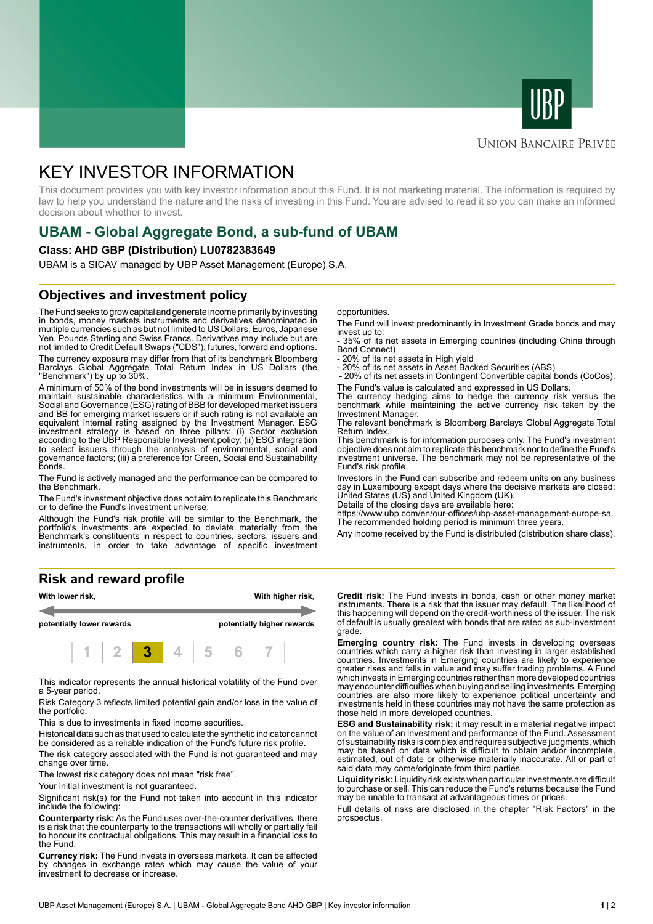



## **UNION BANCAIRE PRIVÉE**

# KEY INVESTOR INFORMATION

This document provides you with key investor information about this Fund. It is not marketing material. The information is required by law to help you understand the nature and the risks of investing in this Fund. You are advised to read it so you can make an informed decision about whether to invest.

# **UBAM - Global Aggregate Bond, a sub-fund of UBAM**

#### **Class: AHD GBP (Distribution) LU0782383649**

UBAM is a SICAV managed by UBP Asset Management (Europe) S.A.

# **Objectives and investment policy**

The Fund seeks to grow capital and generate income primarily by investing in bonds, money markets instruments and derivatives denominated in multiple currencies such as but not limited to US Dollars, Euros, Japanese Yen, Pounds Sterling and Swiss Francs. Derivatives may include but are not limited to Credit Default Swaps ("CDS"), futures, forward and options.

The currency exposure may differ from that of its benchmark Bloomberg Barclays Global Aggregate Total Return Index in US Dollars (the "Benchmark") by up to 30%.

A minimum of 50% of the bond investments will be in issuers deemed to maintain sustainable characteristics with a minimum Environmental, Social and Governance (ESG) rating of BBB for developed market issuers and BB for emerging market issuers or if such rating is not available an equivalent internal rating assigned by the Investment Manager. ESG investment strategy is based on three pillars: (i) Sector exclusion according to the UBP Responsible Investment policy; (ii) ESG integration to select issuers through the analysis of environmental, social and governance factors; (iii) a preference for Green, Social and Sustainability bonds.

The Fund is actively managed and the performance can be compared to the Benchmark.

The Fund's investment objective does not aim to replicate this Benchmark or to define the Fund's investment universe.

Although the Fund's risk profile will be similar to the Benchmark, the portfolio's investments are expected to deviate materially from the Benchmark's constituents in respect to countries, sectors, issuers and instruments, in order to take advantage of specific investment

### **Risk and reward profile**



This indicator represents the annual historical volatility of the Fund over a 5-year period.

Risk Category 3 reflects limited potential gain and/or loss in the value of the portfolio.

This is due to investments in fixed income securities.

Historical data such as that used to calculate the synthetic indicator cannot be considered as a reliable indication of the Fund's future risk profile.

The risk category associated with the Fund is not guaranteed and may change over time.

The lowest risk category does not mean "risk free".

Your initial investment is not quaranteed.

Significant risk(s) for the Fund not taken into account in this indicator include the following:

**Counterparty risk:** As the Fund uses over-the-counter derivatives, there is a risk that the counterparty to the transactions will wholly or partially fail to honour its contractual obligations. This may result in a financial loss to the Fund.

**Currency risk:** The Fund invests in overseas markets. It can be affected by changes in exchange rates which may cause the value of your investment to decrease or increase.

opportunities.

The Fund will invest predominantly in Investment Grade bonds and may invest up to:

- 35% of its net assets in Emerging countries (including China through Bond Connect)

- 20% of its net assets in High yield

- 20% of its net assets in Asset Backed Securities (ABS)

 - 20% of its net assets in Contingent Convertible capital bonds (CoCos). The Fund's value is calculated and expressed in US Dollars.

The currency hedging aims to hedge the currency risk versus the benchmark while maintaining the active currency risk taken by the Investment Manager.

The relevant benchmark is Bloomberg Barclays Global Aggregate Total Return Index.

This benchmark is for information purposes only. The Fund's investment objective does not aim to replicate this benchmark nor to define the Fund's investment universe. The benchmark may not be representative of the Fund's risk profile.

Investors in the Fund can subscribe and redeem units on any business day in Luxembourg except days where the decisive markets are closed: United States (US) and United Kingdom (UK).

Details of the closing days are available here:

https://www.ubp.com/en/our-offices/ubp-asset-management-europe-sa. The recommended holding period is minimum three years.

Any income received by the Fund is distributed (distribution share class).

**Credit risk:** The Fund invests in bonds, cash or other money market instruments. There is a risk that the issuer may default. The likelihood of this happening will depend on the credit-worthiness of the issuer. The risk of default is usually greatest with bonds that are rated as sub-investment grade.

**Emerging country risk:** The Fund invests in developing overseas countries which carry a higher risk than investing in larger established countries. Investments in Emerging countries are likely to experience greater rises and falls in value and may suffer trading problems. A Fund which invests in Emerging countries rather than more developed countries may encounter difficulties when buying and selling investments. Emerging countries are also more likely to experience political uncertainty and investments held in these countries may not have the same protection as those held in more developed countries.

**ESG and Sustainability risk:** it may result in a material negative impact on the value of an investment and performance of the Fund. Assessment of sustainability risks is complex and requires subjective judgments, which may be based on data which is difficult to obtain and/or incomplete, estimated, out of date or otherwise materially inaccurate. All or part of said data may come/originate from third parties.

**Liquidity risk:** Liquidity risk exists when particular investments are difficult to purchase or sell. This can reduce the Fund's returns because the Fund may be unable to transact at advantageous times or prices.

Full details of risks are disclosed in the chapter "Risk Factors" in the prospectus.